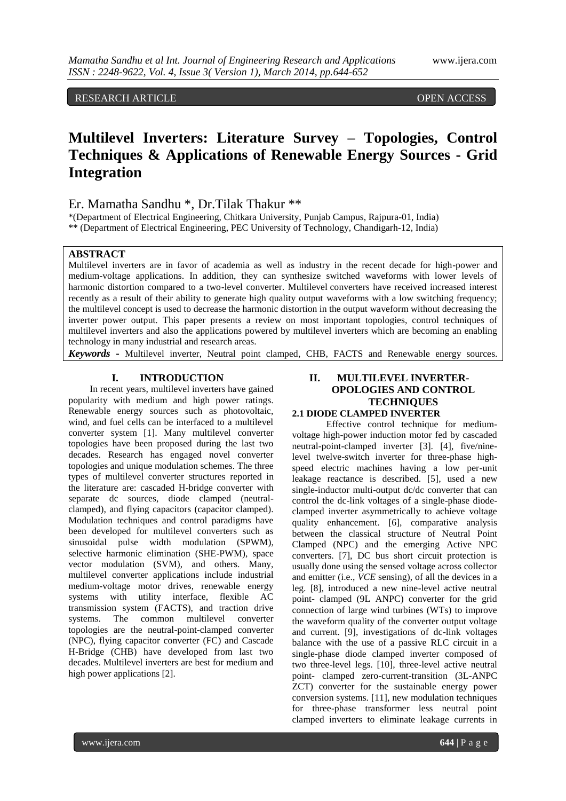# RESEARCH ARTICLE OPEN ACCESS

# **Multilevel Inverters: Literature Survey – Topologies, Control Techniques & Applications of Renewable Energy Sources - Grid Integration**

# Er. Mamatha Sandhu \*, Dr.Tilak Thakur \*\*

\*(Department of Electrical Engineering, Chitkara University, Punjab Campus, Rajpura-01, India) \*\* (Department of Electrical Engineering, PEC University of Technology, Chandigarh-12, India)

## **ABSTRACT**

Multilevel inverters are in favor of academia as well as industry in the recent decade for high-power and medium-voltage applications. In addition, they can synthesize switched waveforms with lower levels of harmonic distortion compared to a two-level converter. Multilevel converters have received increased interest recently as a result of their ability to generate high quality output waveforms with a low switching frequency; the multilevel concept is used to decrease the harmonic distortion in the output waveform without decreasing the inverter power output. This paper presents a review on most important topologies, control techniques of multilevel inverters and also the applications powered by multilevel inverters which are becoming an enabling technology in many industrial and research areas.

*Keywords* **-** Multilevel inverter, Neutral point clamped, CHB, FACTS and Renewable energy sources.

# **I. INTRODUCTION**

In recent years, multilevel inverters have gained popularity with medium and high power ratings. Renewable energy sources such as photovoltaic, wind, and fuel cells can be interfaced to a multilevel converter system [1]. Many multilevel converter topologies have been proposed during the last two decades. Research has engaged novel converter topologies and unique modulation schemes. The three types of multilevel converter structures reported in the literature are: cascaded H-bridge converter with separate dc sources, diode clamped (neutralclamped), and flying capacitors (capacitor clamped). Modulation techniques and control paradigms have been developed for multilevel converters such as sinusoidal pulse width modulation (SPWM), selective harmonic elimination (SHE-PWM), space vector modulation (SVM), and others. Many, multilevel converter applications include industrial medium-voltage motor drives, renewable energy systems with utility interface, flexible AC transmission system (FACTS), and traction drive systems. The common multilevel converter topologies are the neutral-point-clamped converter (NPC), flying capacitor converter (FC) and Cascade H-Bridge (CHB) have developed from last two decades. Multilevel inverters are best for medium and high power applications [2].

## **II. MULTILEVEL INVERTER-OPOLOGIES AND CONTROL TECHNIQUES 2.1 DIODE CLAMPED INVERTER**

Effective control technique for mediumvoltage high-power induction motor fed by cascaded neutral-point-clamped inverter [3]. [4], five/ninelevel twelve-switch inverter for three-phase highspeed electric machines having a low per-unit leakage reactance is described. [5], used a new single-inductor multi-output dc/dc converter that can control the dc-link voltages of a single-phase diodeclamped inverter asymmetrically to achieve voltage quality enhancement. [6], comparative analysis between the classical structure of Neutral Point Clamped (NPC) and the emerging Active NPC converters. [7], DC bus short circuit protection is usually done using the sensed voltage across collector and emitter (i.e., *VCE* sensing), of all the devices in a leg. [8], introduced a new nine-level active neutral point- clamped (9L ANPC) converter for the grid connection of large wind turbines (WTs) to improve the waveform quality of the converter output voltage and current. [9], investigations of dc-link voltages balance with the use of a passive RLC circuit in a single-phase diode clamped inverter composed of two three-level legs. [10], three-level active neutral point- clamped zero-current-transition (3L-ANPC ZCT) converter for the sustainable energy power conversion systems. [11], new modulation techniques for three-phase transformer less neutral point clamped inverters to eliminate leakage currents in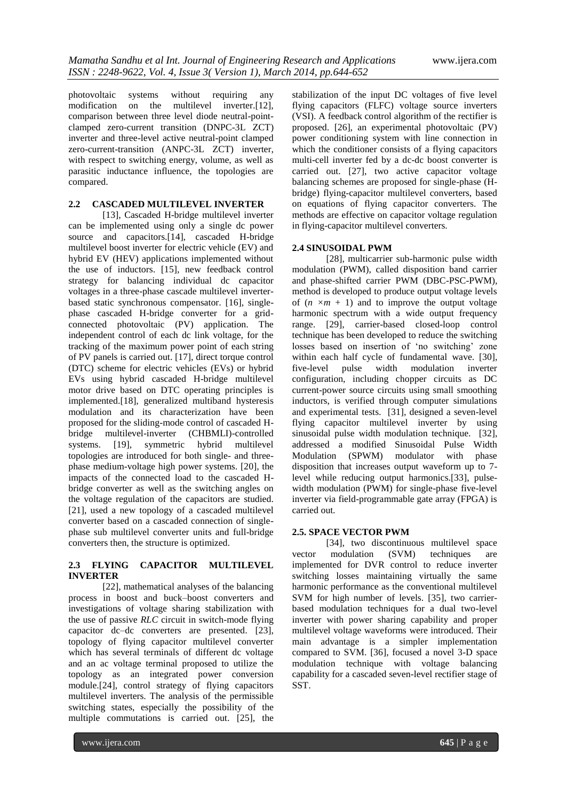photovoltaic systems without requiring any modification on the multilevel inverter.[12], comparison between three level diode neutral-pointclamped zero-current transition (DNPC-3L ZCT) inverter and three-level active neutral-point clamped zero-current-transition (ANPC-3L ZCT) inverter, with respect to switching energy, volume, as well as parasitic inductance influence, the topologies are compared.

# **2.2 CASCADED MULTILEVEL INVERTER**

[13], Cascaded H-bridge multilevel inverter can be implemented using only a single dc power source and capacitors.[14], cascaded H-bridge multilevel boost inverter for electric vehicle (EV) and hybrid EV (HEV) applications implemented without the use of inductors. [15], new feedback control strategy for balancing individual dc capacitor voltages in a three-phase cascade multilevel inverterbased static synchronous compensator. [16], singlephase cascaded H-bridge converter for a gridconnected photovoltaic (PV) application. The independent control of each dc link voltage, for the tracking of the maximum power point of each string of PV panels is carried out. [17], direct torque control (DTC) scheme for electric vehicles (EVs) or hybrid EVs using hybrid cascaded H-bridge multilevel motor drive based on DTC operating principles is implemented.[18], generalized multiband hysteresis modulation and its characterization have been proposed for the sliding-mode control of cascaded Hbridge multilevel-inverter (CHBMLI)-controlled systems. [19], symmetric hybrid multilevel topologies are introduced for both single- and threephase medium-voltage high power systems. [20], the impacts of the connected load to the cascaded Hbridge converter as well as the switching angles on the voltage regulation of the capacitors are studied. [21], used a new topology of a cascaded multilevel converter based on a cascaded connection of singlephase sub multilevel converter units and full-bridge converters then, the structure is optimized.

#### **2.3 FLYING CAPACITOR MULTILEVEL INVERTER**

[22], mathematical analyses of the balancing process in boost and buck–boost converters and investigations of voltage sharing stabilization with the use of passive *RLC* circuit in switch-mode flying capacitor dc–dc converters are presented. [23], topology of flying capacitor multilevel converter which has several terminals of different dc voltage and an ac voltage terminal proposed to utilize the topology as an integrated power conversion module.[24], control strategy of flying capacitors multilevel inverters. The analysis of the permissible switching states, especially the possibility of the multiple commutations is carried out. [25], the

stabilization of the input DC voltages of five level flying capacitors (FLFC) voltage source inverters (VSI). A feedback control algorithm of the rectifier is proposed. [26], an experimental photovoltaic (PV) power conditioning system with line connection in which the conditioner consists of a flying capacitors multi-cell inverter fed by a dc-dc boost converter is carried out. [27], two active capacitor voltage balancing schemes are proposed for single-phase (Hbridge) flying-capacitor multilevel converters, based on equations of flying capacitor converters. The methods are effective on capacitor voltage regulation in flying-capacitor multilevel converters.

#### **2.4 SINUSOIDAL PWM**

[28], multicarrier sub-harmonic pulse width modulation (PWM), called disposition band carrier and phase-shifted carrier PWM (DBC-PSC-PWM), method is developed to produce output voltage levels of  $(n \times m + 1)$  and to improve the output voltage harmonic spectrum with a wide output frequency range. [29], carrier-based closed-loop control technique has been developed to reduce the switching losses based on insertion of 'no switching' zone within each half cycle of fundamental wave. [30], five-level pulse width modulation inverter configuration, including chopper circuits as DC current-power source circuits using small smoothing inductors, is verified through computer simulations and experimental tests. [31], designed a seven-level flying capacitor multilevel inverter by using sinusoidal pulse width modulation technique. [32], addressed a modified Sinusoidal Pulse Width Modulation (SPWM) modulator with phase disposition that increases output waveform up to 7 level while reducing output harmonics.[33], pulsewidth modulation (PWM) for single-phase five-level inverter via field-programmable gate array (FPGA) is carried out.

#### **2.5. SPACE VECTOR PWM**

[34], two discontinuous multilevel space vector modulation (SVM) techniques are implemented for DVR control to reduce inverter switching losses maintaining virtually the same harmonic performance as the conventional multilevel SVM for high number of levels. [35], two carrierbased modulation techniques for a dual two-level inverter with power sharing capability and proper multilevel voltage waveforms were introduced. Their main advantage is a simpler implementation compared to SVM. [36], focused a novel 3-D space modulation technique with voltage balancing capability for a cascaded seven-level rectifier stage of SST.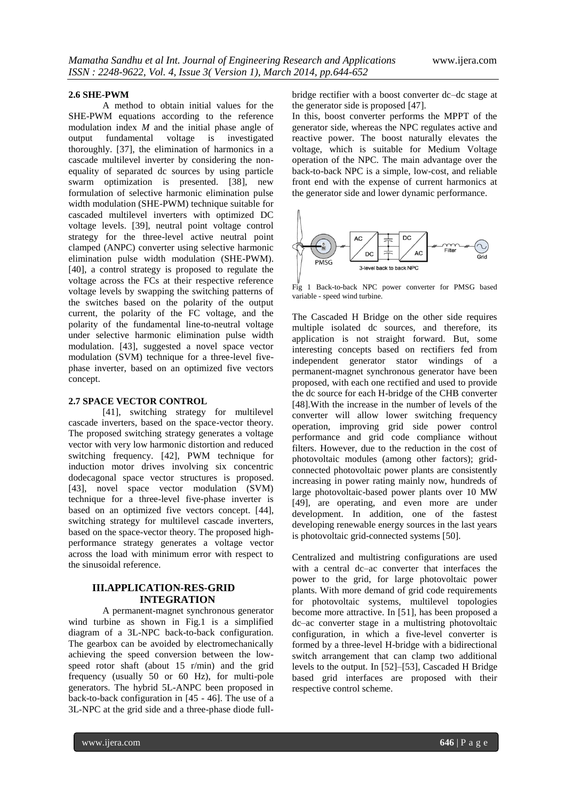#### **2.6 SHE-PWM**

A method to obtain initial values for the SHE-PWM equations according to the reference modulation index *M* and the initial phase angle of output fundamental voltage is investigated thoroughly. [37], the elimination of harmonics in a cascade multilevel inverter by considering the nonequality of separated dc sources by using particle swarm optimization is presented. [38], new formulation of selective harmonic elimination pulse width modulation (SHE-PWM) technique suitable for cascaded multilevel inverters with optimized DC voltage levels. [39], neutral point voltage control strategy for the three-level active neutral point clamped (ANPC) converter using selective harmonic elimination pulse width modulation (SHE-PWM). [40], a control strategy is proposed to regulate the voltage across the FCs at their respective reference voltage levels by swapping the switching patterns of the switches based on the polarity of the output current, the polarity of the FC voltage, and the polarity of the fundamental line-to-neutral voltage under selective harmonic elimination pulse width modulation. [43], suggested a novel space vector modulation (SVM) technique for a three-level fivephase inverter, based on an optimized five vectors concept.

## **2.7 SPACE VECTOR CONTROL**

[41], switching strategy for multilevel cascade inverters, based on the space-vector theory. The proposed switching strategy generates a voltage vector with very low harmonic distortion and reduced switching frequency. [42], PWM technique for induction motor drives involving six concentric dodecagonal space vector structures is proposed. [43], novel space vector modulation (SVM) technique for a three-level five-phase inverter is based on an optimized five vectors concept. [44], switching strategy for multilevel cascade inverters, based on the space-vector theory. The proposed highperformance strategy generates a voltage vector across the load with minimum error with respect to the sinusoidal reference.

#### **III.APPLICATION-RES-GRID INTEGRATION**

A permanent-magnet synchronous generator wind turbine as shown in Fig.1 is a simplified diagram of a 3L-NPC back-to-back configuration. The gearbox can be avoided by electromechanically achieving the speed conversion between the lowspeed rotor shaft (about 15 r/min) and the grid frequency (usually 50 or 60 Hz), for multi-pole generators. The hybrid 5L-ANPC been proposed in back-to-back configuration in [45 - 46]. The use of a 3L-NPC at the grid side and a three-phase diode fullbridge rectifier with a boost converter dc–dc stage at the generator side is proposed [47].

In this, boost converter performs the MPPT of the generator side, whereas the NPC regulates active and reactive power. The boost naturally elevates the voltage, which is suitable for Medium Voltage operation of the NPC. The main advantage over the back-to-back NPC is a simple, low-cost, and reliable front end with the expense of current harmonics at the generator side and lower dynamic performance.



Fig 1 Back-to-back NPC power converter for PMSG based variable - speed wind turbine.

The Cascaded H Bridge on the other side requires multiple isolated dc sources, and therefore, its application is not straight forward. But, some interesting concepts based on rectifiers fed from independent generator stator windings of a permanent-magnet synchronous generator have been proposed, with each one rectified and used to provide the dc source for each H-bridge of the CHB converter [48].With the increase in the number of levels of the converter will allow lower switching frequency operation, improving grid side power control performance and grid code compliance without filters. However, due to the reduction in the cost of photovoltaic modules (among other factors); gridconnected photovoltaic power plants are consistently increasing in power rating mainly now, hundreds of large photovoltaic-based power plants over 10 MW [49], are operating, and even more are under development. In addition, one of the fastest developing renewable energy sources in the last years is photovoltaic grid-connected systems [50].

Centralized and multistring configurations are used with a central dc–ac converter that interfaces the power to the grid, for large photovoltaic power plants. With more demand of grid code requirements for photovoltaic systems, multilevel topologies become more attractive. In [51], has been proposed a dc–ac converter stage in a multistring photovoltaic configuration, in which a five-level converter is formed by a three-level H-bridge with a bidirectional switch arrangement that can clamp two additional levels to the output. In [52]–[53], Cascaded H Bridge based grid interfaces are proposed with their respective control scheme.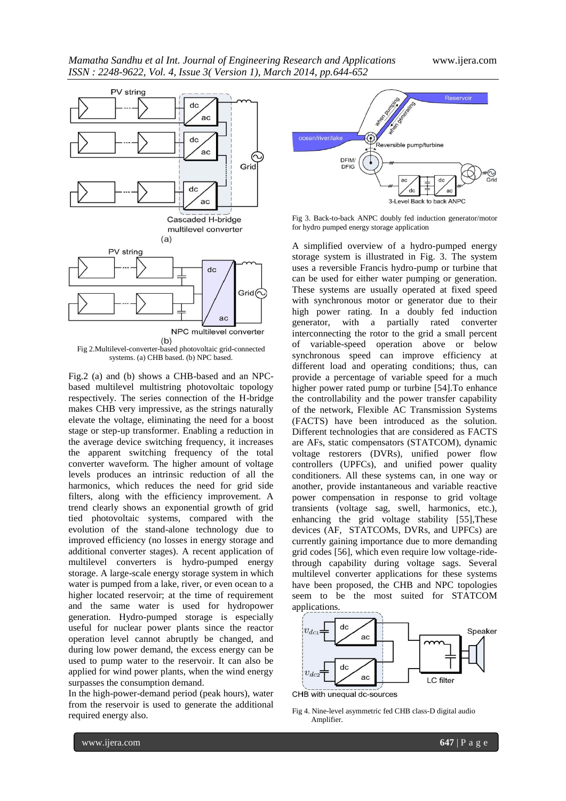

systems. (a) CHB based. (b) NPC based.

Fig.2 (a) and (b) shows a CHB-based and an NPCbased multilevel multistring photovoltaic topology respectively. The series connection of the H-bridge makes CHB very impressive, as the strings naturally elevate the voltage, eliminating the need for a boost stage or step-up transformer. Enabling a reduction in the average device switching frequency, it increases the apparent switching frequency of the total converter waveform. The higher amount of voltage levels produces an intrinsic reduction of all the harmonics, which reduces the need for grid side filters, along with the efficiency improvement. A trend clearly shows an exponential growth of grid tied photovoltaic systems, compared with the evolution of the stand-alone technology due to improved efficiency (no losses in energy storage and additional converter stages). A recent application of multilevel converters is hydro-pumped energy storage. A large-scale energy storage system in which water is pumped from a lake, river, or even ocean to a higher located reservoir; at the time of requirement and the same water is used for hydropower generation. Hydro-pumped storage is especially useful for nuclear power plants since the reactor operation level cannot abruptly be changed, and during low power demand, the excess energy can be used to pump water to the reservoir. It can also be applied for wind power plants, when the wind energy surpasses the consumption demand.

In the high-power-demand period (peak hours), water from the reservoir is used to generate the additional required energy also.



Fig 3. Back-to-back ANPC doubly fed induction generator/motor for hydro pumped energy storage application

A simplified overview of a hydro-pumped energy storage system is illustrated in Fig. 3. The system uses a reversible Francis hydro-pump or turbine that can be used for either water pumping or generation. These systems are usually operated at fixed speed with synchronous motor or generator due to their high power rating. In a doubly fed induction generator, with a partially rated converter interconnecting the rotor to the grid a small percent of variable-speed operation above or below synchronous speed can improve efficiency at different load and operating conditions; thus, can provide a percentage of variable speed for a much higher power rated pump or turbine [54].To enhance the controllability and the power transfer capability of the network, Flexible AC Transmission Systems (FACTS) have been introduced as the solution. Different technologies that are considered as FACTS are AFs, static compensators (STATCOM), dynamic voltage restorers (DVRs), unified power flow controllers (UPFCs), and unified power quality conditioners. All these systems can, in one way or another, provide instantaneous and variable reactive power compensation in response to grid voltage transients (voltage sag, swell, harmonics, etc.), enhancing the grid voltage stability [55],These devices (AF, STATCOMs, DVRs, and UPFCs) are currently gaining importance due to more demanding grid codes [56], which even require low voltage-ridethrough capability during voltage sags. Several multilevel converter applications for these systems have been proposed, the CHB and NPC topologies seem to be the most suited for STATCOM applications.



CHB with unequal dc-sources

Fig 4. Nine-level asymmetric fed CHB class-D digital audio Amplifier.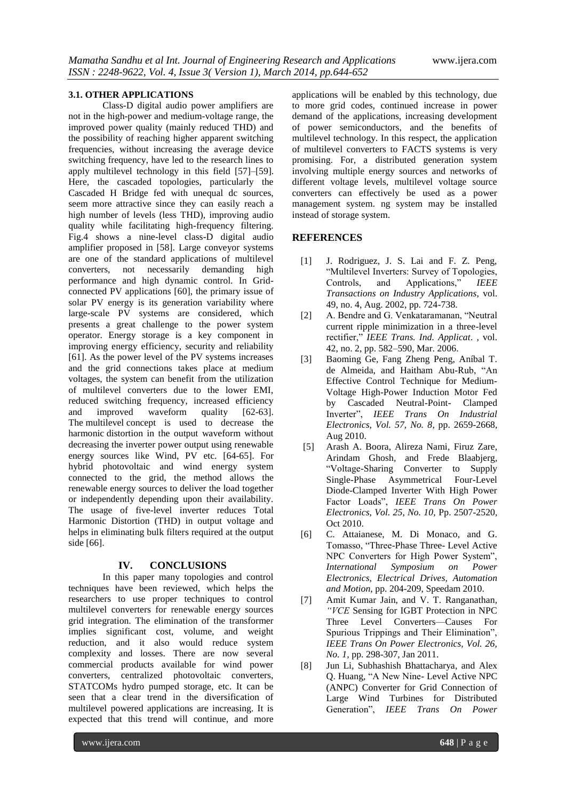#### **3.1. OTHER APPLICATIONS**

Class-D digital audio power amplifiers are not in the high-power and medium-voltage range, the improved power quality (mainly reduced THD) and the possibility of reaching higher apparent switching frequencies, without increasing the average device switching frequency, have led to the research lines to apply multilevel technology in this field [57]–[59]. Here, the cascaded topologies, particularly the Cascaded H Bridge fed with unequal dc sources, seem more attractive since they can easily reach a high number of levels (less THD), improving audio quality while facilitating high-frequency filtering. Fig.4 shows a nine-level class-D digital audio amplifier proposed in [58]. Large conveyor systems are one of the standard applications of multilevel converters, not necessarily demanding high performance and high dynamic control. In Gridconnected PV applications [60], the primary issue of solar PV energy is its generation variability where large-scale PV systems are considered, which presents a great challenge to the power system operator. Energy storage is a key component in improving energy efficiency, security and reliability [61]. As the power level of the PV systems increases and the grid connections takes place at medium voltages, the system can benefit from the utilization of multilevel converters due to the lower EMI, reduced switching frequency, increased efficiency and improved waveform quality [62-63]. The multilevel concept is used to decrease the harmonic distortion in the output waveform without decreasing the inverter power output using renewable energy sources like Wind, PV etc. [64-65]. For hybrid photovoltaic and wind energy system connected to the grid, the method allows the renewable energy sources to deliver the load together or independently depending upon their availability. The usage of five-level inverter reduces Total Harmonic Distortion (THD) in output voltage and helps in eliminating bulk filters required at the output side [66].

#### **IV. CONCLUSIONS**

In this paper many topologies and control techniques have been reviewed, which helps the researchers to use proper techniques to control multilevel converters for renewable energy sources grid integration. The elimination of the transformer implies significant cost, volume, and weight reduction, and it also would reduce system complexity and losses. There are now several commercial products available for wind power converters, centralized photovoltaic converters, STATCOMs hydro pumped storage, etc. It can be seen that a clear trend in the diversification of multilevel powered applications are increasing. It is expected that this trend will continue, and more

applications will be enabled by this technology, due to more grid codes, continued increase in power demand of the applications, increasing development of power semiconductors, and the benefits of multilevel technology. In this respect, the application of multilevel converters to FACTS systems is very promising. For, a distributed generation system involving multiple energy sources and networks of different voltage levels, multilevel voltage source converters can effectively be used as a power management system. ng system may be installed instead of storage system.

## **REFERENCES**

- [1] J. Rodriguez, J. S. Lai and F. Z. Peng, ―Multilevel Inverters: Survey of Topologies, Controls, and Applications," *IEEE Transactions on Industry Applications*, vol. 49, no. 4, Aug. 2002, pp. 724-738.
- [2] A. Bendre and G. Venkataramanan, "Neutral" current ripple minimization in a three-level rectifier," IEEE Trans. Ind. Applicat. , vol. 42, no. 2, pp. 582–590, Mar. 2006.
- [3] Baoming Ge, Fang Zheng Peng, Aníbal T. de Almeida, and Haitham Abu-Rub, "An Effective Control Technique for Medium-Voltage High-Power Induction Motor Fed by Cascaded Neutral-Point- Clamped Inverter", **IEEE** Trans On Industrial *Electronics, Vol. 57, No. 8*, pp. 2659-2668, Aug 2010.
- [5] Arash A. Boora, Alireza Nami*,* Firuz Zare*,*  Arindam Ghosh*,* and Frede Blaabjerg*,*  ―Voltage-Sharing Converter to Supply Single-Phase Asymmetrical Four-Level Diode-Clamped Inverter With High Power Factor Loads", **IEEE Trans On Power** *Electronics, Vol. 25, No. 10,* Pp. 2507-2520, Oct 2010.
- [6] C. Attaianese, M. Di Monaco, and G. Tomasso, "Three-Phase Three- Level Active NPC Converters for High Power System",<br>International Symposium on Power *Symposium Electronics, Electrical Drives, Automation and Motion*, pp. 204-209, Speedam 2010.
- [7] Amit Kumar Jain, and V. T. Ranganathan*, ―VCE* Sensing for IGBT Protection in NPC Three Level Converters—Causes For Spurious Trippings and Their Elimination", *IEEE Trans On Power Electronics, Vol. 26, No. 1,* pp. 298-307, Jan 2011.
- [8] Jun Li*,* Subhashish Bhattacharya*,* and Alex Q. Huang, "A New Nine- Level Active NPC (ANPC) Converter for Grid Connection of Large Wind Turbines for Distributed Generation", **IEEE** Trans On Power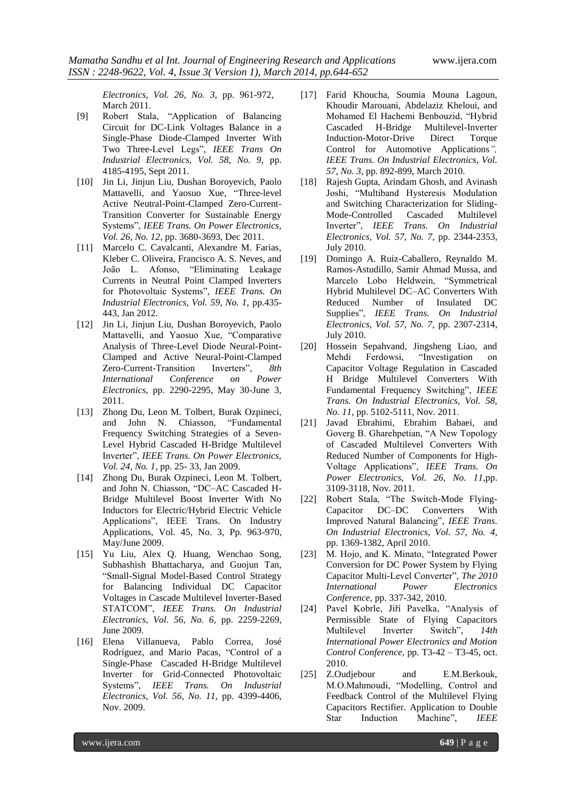*Electronics, Vol. 26, No. 3,* pp. 961-972, March 2011.

- [9] Robert Stala, "Application of Balancing Circuit for DC-Link Voltages Balance in a Single-Phase Diode-Clamped Inverter With Two Three-Level Legs", IEEE Trans On *Industrial Electronics, Vol. 58, No. 9,* pp. 4185-4195, Sept 2011.
- [10] Jin Li*,* Jinjun Liu*,* Dushan Boroyevich*,* Paolo Mattavelli*,* and Yaosuo Xue*,* ―Three-level Active Neutral-Point-Clamped Zero-Current-Transition Converter for Sustainable Energy Systems‖, *IEEE Trans. On Power Electronics, Vol. 26, No. 12*, pp. 3680-3693, Dec 2011.
- [11] Marcelo C. Cavalcanti, Alexandre M. Farias, Kleber C. Oliveira, Francisco A. S. Neves, and João L. Afonso, "Eliminating Leakage Currents in Neutral Point Clamped Inverters for Photovoltaic Systems", IEEE Trans. On *Industrial Electronics, Vol. 59, No. 1,* pp.435- 443, Jan 2012.
- [12] Jin Li, Jinjun Liu, Dushan Boroyevich, Paolo Mattavelli, and Yaosuo Xue, "Comparative Analysis of Three-Level Diode Neural-Point-Clamped and Active Neural-Point-Clamped Zero-Current-Transition Inverters", 8th *International Conference on Power Electronics,* pp. 2290-2295, May 30-June 3, 2011.
- [13] Zhong Du*,* Leon M. Tolbert*,* Burak Ozpineci*,*  and John N. Chiasson, "Fundamental Frequency Switching Strategies of a Seven-Level Hybrid Cascaded H-Bridge Multilevel Inverter", *IEEE Trans. On Power Electronics*, *Vol. 24, No. 1*, pp. 25- 33, Jan 2009.
- [14] Zhong Du, Burak Ozpineci, Leon M. Tolbert, and John N. Chiasson, "DC-AC Cascaded H-Bridge Multilevel Boost Inverter With No Inductors for Electric/Hybrid Electric Vehicle Applications", IEEE Trans. On Industry Applications, Vol. 45, No. 3, Pp. 963-970, May/June 2009.
- [15] Yu Liu, Alex Q. Huang, Wenchao Song, Subhashish Bhattacharya, and Guojun Tan, ―Small-Signal Model-Based Control Strategy for Balancing Individual DC Capacitor Voltages in Cascade Multilevel Inverter-Based STATCOM", **IEEE Trans.** On Industrial *Electronics, Vol. 56, No. 6,* pp. 2259-2269, June 2009.
- [16] Elena Villanueva, Pablo Correa, José Rodríguez, and Mario Pacas, "Control of a Single-Phase Cascaded H-Bridge Multilevel Inverter for Grid-Connected Photovoltaic Systems‖, *IEEE Trans. On Industrial Electronics, Vol. 56, No. 11,* pp. 4399-4406, Nov. 2009.
- [17] Farid Khoucha, Soumia Mouna Lagoun, Khoudir Marouani, Abdelaziz Kheloui, and Mohamed El Hachemi Benbouzid, "Hybrid Cascaded H-Bridge Multilevel-Inverter Induction-Motor-Drive Direct Torque Control for Automotive Applications*‖, IEEE Trans. On Industrial Electronics, Vol. 57, No. 3*, pp. 892-899, March 2010.
- [18] Rajesh Gupta, Arindam Ghosh, and Avinash Joshi, "Multiband Hysteresis Modulation and Switching Characterization for Sliding-Mode-Controlled Cascaded Multilevel Inverter", **IEEE** Trans. On Industrial *Electronics, Vol. 57, No. 7,* pp. 2344-2353, July 2010.
- [19] Domingo A. Ruiz-Caballero, Reynaldo M. Ramos-Astudillo, Samir Ahmad Mussa, and Marcelo Lobo Heldwein, "Symmetrical Hybrid Multilevel DC–AC Converters With Reduced Number of Insulated DC Supplies‖, *IEEE Trans. On Industrial Electronics, Vol. 57, No. 7,* pp. 2307-2314, July 2010.
- [20] Hossein Sepahvand, Jingsheng Liao, and Mehdi Ferdowsi, "Investigation on Capacitor Voltage Regulation in Cascaded H Bridge Multilevel Converters With Fundamental Frequency Switching", IEEE *Trans. On Industrial Electronics, Vol. 58, No. 11*, pp. 5102-5111, Nov. 2011.
- [21] Javad Ebrahimi*,* Ebrahim Babaei*,* and Goverg B. Gharehpetian, "A New Topology of Cascaded Multilevel Converters With Reduced Number of Components for High-Voltage Applications‖, *IEEE Trans. On Power Electronics, Vol. 26, No. 11*,pp. 3109-3118, Nov. 2011.
- [22] Robert Stala, "The Switch-Mode Flying-Capacitor DC–DC Converters With Improved Natural Balancing", *IEEE Trans. On Industrial Electronics, Vol. 57, No. 4*, pp. 1369-1382, April 2010.
- [23] M. Hojo, and K. Minato, "Integrated Power Conversion for DC Power System by Flying Capacitor Multi-Level Converter", *The 2010 International Power Electronics Conference,* pp. 337-342, 2010.
- [24] Pavel Kobrle, Jiří Pavelka, "Analysis of Permissible State of Flying Capacitors Multilevel Inverter Switch", 14th *International Power Electronics and Motion Control Conference,* pp. T3-42 – T3-45, oct. 2010.
- [25] Z.Oudjebour and E.M.Berkouk, M.O.Mahmoudi, "Modelling, Control and Feedback Control of the Multilevel Flying Capacitors Rectifier. Application to Double Star Induction Machine", *IEEE*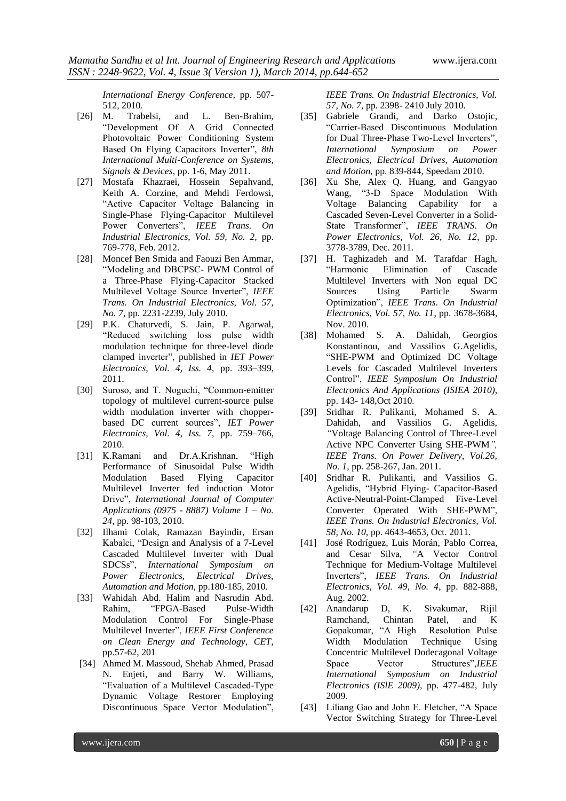*International Energy Conference,* pp. 507- 512, 2010.

- [26] M. Trabelsi, and L. Ben-Brahim, ―Development Of A Grid Connected Photovoltaic Power Conditioning System Based On Flying Capacitors Inverter", 8th *International Multi-Conference on Systems, Signals & Devices*, pp. 1-6, May 2011.
- [27] Mostafa Khazraei, Hossein Sepahvand, Keith A. Corzine, and Mehdi Ferdowsi, "Active Capacitor Voltage Balancing in Single-Phase Flying-Capacitor Multilevel Power Converters", *IEEE Trans. On Industrial Electronics, Vol. 59, No. 2,* pp. 769-778, Feb. 2012.
- [28] Moncef Ben Smida and Faouzi Ben Ammar, "Modeling and DBCPSC- PWM Control of a Three-Phase Flying-Capacitor Stacked Multilevel Voltage Source Inverter", *IEEE Trans. On Industrial Electronics, Vol. 57, No. 7,* pp. 2231-2239, July 2010.
- [29] P.K. Chaturvedi, S. Jain, P. Agarwal, "Reduced switching loss pulse width modulation technique for three-level diode clamped inverter", published in IET Power *Electronics, Vol. 4, Iss. 4,* pp. 393–399, 2011.
- [30] Suroso, and T. Noguchi, "Common-emitter topology of multilevel current-source pulse width modulation inverter with chopperbased DC current sources", IET Power *Electronics, Vol. 4, Iss. 7,* pp. 759–766, 2010.
- [31] K.Ramani and Dr.A.Krishnan, "High Performance of Sinusoidal Pulse Width Modulation Based Flying Capacitor Multilevel Inverter fed induction Motor Drive", *International Journal of Computer Applications (0975 - 8887) Volume 1 – No. 24,* pp. 98-103, 2010.
- [32] Ilhami Colak, Ramazan Bayindir, Ersan Kabalci, "Design and Analysis of a 7-Level Cascaded Multilevel Inverter with Dual SDCSs‖, *International Symposium on Power Electronics, Electrical Drives, Automation and Motion,* pp.180-185, 2010.
- [33] Wahidah Abd. Halim and Nasrudin Abd. Rahim, "FPGA-Based Pulse-Width Modulation Control For Single-Phase Multilevel Inverter‖, *IEEE First Conference on Clean Energy and Technology, CET,* pp.57-62, 201
- [34] Ahmed M. Massoud, Shehab Ahmed, Prasad N. Enjeti, and Barry W. Williams, ―Evaluation of a Multilevel Cascaded-Type Dynamic Voltage Restorer Employing Discontinuous Space Vector Modulation",

*IEEE Trans. On Industrial Electronics, Vol. 57, No. 7*, pp. 2398- 2410 July 2010.

- [35] Gabriele Grandi, and Darko Ostojic, ―Carrier-Based Discontinuous Modulation for Dual Three-Phase Two-Level Inverters", *International Symposium on Power Electronics, Electrical Drives, Automation and Motion*, pp. 839-844, Speedam 2010.
- [36] Xu She*,* Alex Q. Huang*,* and Gangyao Wang, "3-D Space Modulation With Voltage Balancing Capability for a Cascaded Seven-Level Converter in a Solid-State Transformer", **IEEE TRANS.** On *Power Electronics, Vol. 26, No. 12*, pp. 3778-3789, Dec. 2011.
- [37] H. Taghizadeh and M. Tarafdar Hagh, ―Harmonic Elimination of Cascade Multilevel Inverters with Non equal DC<br>Sources Using Particle Swarm Sources Using Particle Swarm Optimization‖, *IEEE Trans. On Industrial Electronics, Vol. 57, No. 11*, pp. 3678-3684, Nov. 2010.
- [38] Mohamed S. A. Dahidah, Georgios Konstantinou, and Vassilios G.Agelidis, ―SHE-PWM and Optimized DC Voltage Levels for Cascaded Multilevel Inverters Control‖, *IEEE Symposium On Industrial Electronics And Applications (ISIEA 2010),* pp. 143- 148,Oct 2010.
- [39] Sridhar R. Pulikanti*,* Mohamed S. A. Dahidah*,* and Vassilios G. Agelidis*, ―*Voltage Balancing Control of Three-Level Active NPC Converter Using SHE-PWM*‖, IEEE Trans. On Power Delivery, Vol.26, No. 1*, pp. 258-267, Jan. 2011.
- [40] Sridhar R. Pulikanti, and Vassilios G. Agelidis, "Hybrid Flying- Capacitor-Based Active-Neutral-Point-Clamped Five-Level Converter Operated With SHE-PWM", *IEEE Trans. On Industrial Electronics, Vol. 58, No. 10,* pp. 4643-4653, Oct. 2011.
- [41] José Rodríguez*,* Luis Morán*,* Pablo Correa, and Cesar Silva, "A Vector Control Technique for Medium-Voltage Multilevel Inverters‖, *IEEE Trans. On Industrial Electronics, Vol. 49, No. 4*, pp. 882-888, Aug. 2002.
- [42] Anandarup D, K. Sivakumar, Rijil Ramchand, Chintan Patel, and K Gopakumar, "A High Resolution Pulse Width Modulation Technique Using Concentric Multilevel Dodecagonal Voltage Space Vector Structures",*IEEE International Symposium on Industrial Electronics (ISlE 2009),* pp. 477-482, July 2009.
- [43] Liliang Gao and John E. Fletcher, "A Space Vector Switching Strategy for Three-Level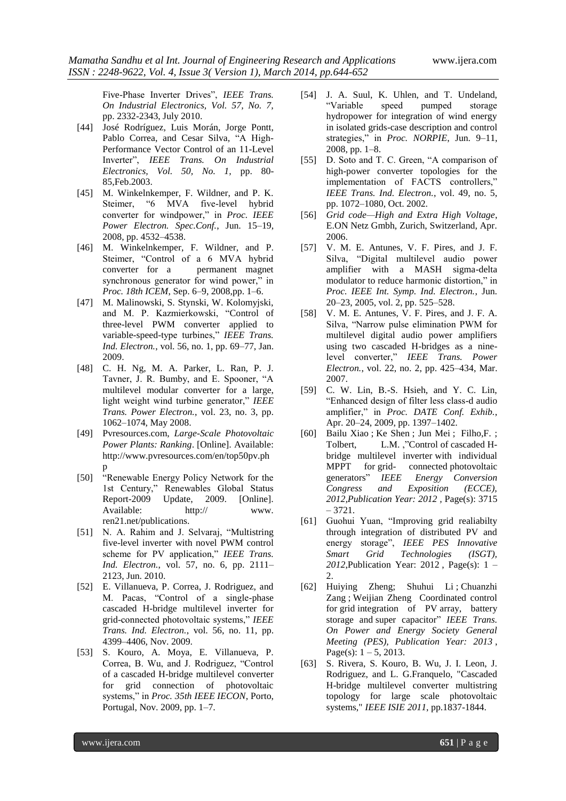Five-Phase Inverter Drives", IEEE Trans. *On Industrial Electronics, Vol. 57, No. 7,* pp. 2332-2343, July 2010.

- [44] José Rodríguez*,* Luis Morán*,* Jorge Pontt*,*  Pablo Correa, and Cesar Silva, "A High-Performance Vector Control of an 11-Level Inverter‖, *IEEE Trans. On Industrial Electronics, Vol. 50, No. 1,* pp. 80- 85,Feb.2003.
- [45] M. Winkelnkemper, F. Wildner, and P. K. Steimer, "6 MVA five-level hybrid converter for windpower," in *Proc. IEEE Power Electron. Spec.Conf.*, Jun. 15–19, 2008, pp. 4532–4538.
- [46] M. Winkelnkemper, F. Wildner, and P. Steimer, "Control of a 6 MVA hybrid converter for a permanent magnet synchronous generator for wind power," in *Proc. 18th ICEM*, Sep. 6–9, 2008,pp. 1–6.
- [47] M. Malinowski, S. Stynski, W. Kolomyjski, and M. P. Kazmierkowski, "Control of three-level PWM converter applied to variable-speed-type turbines," IEEE Trans. *Ind. Electron.*, vol. 56, no. 1, pp. 69–77, Jan. 2009.
- [48] C. H. Ng, M. A. Parker, L. Ran, P. J. Tavner, J. R. Bumby, and E. Spooner, "A multilevel modular converter for a large, light weight wind turbine generator," *IEEE Trans. Power Electron.*, vol. 23, no. 3, pp. 1062–1074, May 2008.
- [49] Pvresources.com, *Large-Scale Photovoltaic Power Plants: Ranking*. [Online]. Available: http://www.pvresources.com/en/top50pv.ph p
- [50] "Renewable Energy Policy Network for the 1st Century," Renewables Global Status Report-2009 Update, 2009. [Online]. Available: http:// www. ren21.net/publications.
- [51] N. A. Rahim and J. Selvaraj, "Multistring five-level inverter with novel PWM control scheme for PV application," IEEE Trans. *Ind. Electron.*, vol. 57, no. 6, pp. 2111– 2123, Jun. 2010.
- [52] E. Villanueva, P. Correa, J. Rodriguez, and M. Pacas, "Control of a single-phase cascaded H-bridge multilevel inverter for grid-connected photovoltaic systems,‖ *IEEE Trans. Ind. Electron.*, vol. 56, no. 11, pp. 4399–4406, Nov. 2009.
- [53] S. Kouro, A. Moya, E. Villanueva, P. Correa, B. Wu, and J. Rodriguez, "Control of a cascaded H-bridge multilevel converter for grid connection of photovoltaic systems," in *Proc. 35th IEEE IECON*, Porto, Portugal, Nov. 2009, pp. 1–7.
- [54] J. A. Suul, K. Uhlen, and T. Undeland, ―Variable speed pumped storage hydropower for integration of wind energy in isolated grids-case description and control strategies," in *Proc. NORPIE*, Jun. 9-11, 2008, pp. 1–8.
- [55] D. Soto and T. C. Green, "A comparison of high-power converter topologies for the implementation of FACTS controllers," *IEEE Trans. Ind. Electron.*, vol. 49, no. 5, pp. 1072–1080, Oct. 2002.
- [56] *Grid code—High and Extra High Voltage*, E.ON Netz Gmbh, Zurich, Switzerland, Apr. 2006.
- [57] V. M. E. Antunes, V. F. Pires, and J. F. Silva, "Digital multilevel audio power amplifier with a MASH sigma-delta modulator to reduce harmonic distortion," in *Proc. IEEE Int. Symp. Ind. Electron.*, Jun. 20–23, 2005, vol. 2, pp. 525–528.
- [58] V. M. E. Antunes, V. F. Pires, and J. F. A. Silva, "Narrow pulse elimination PWM for multilevel digital audio power amplifiers using two cascaded H-bridges as a ninelevel converter," IEEE Trans. Power *Electron.*, vol. 22, no. 2, pp. 425–434, Mar. 2007.
- [59] C. W. Lin, B.-S. Hsieh, and Y. C. Lin, ―Enhanced design of filter less class-d audio amplifier," in *Proc. DATE Conf. Exhib.*, Apr. 20–24, 2009, pp. 1397–1402.
- [60] [Bailu Xiao](http://ieeexplore.ieee.org/search/searchresult.jsp?searchWithin=p_Authors:.QT.Bailu%20Xiao.QT.&searchWithin=p_Author_Ids:38506393900&newsearch=true) ; [Ke Shen](http://ieeexplore.ieee.org/search/searchresult.jsp?searchWithin=p_Authors:.QT.Ke%20Shen.QT.&searchWithin=p_Author_Ids:38511775100&newsearch=true) ; [Jun Mei](http://ieeexplore.ieee.org/search/searchresult.jsp?searchWithin=p_Authors:.QT.Jun%20Mei.QT.&searchWithin=p_Author_Ids:38508392400&newsearch=true) ; [Filho,F.](http://ieeexplore.ieee.org/search/searchresult.jsp?searchWithin=p_Authors:.QT.Filho,%20F..QT.&searchWithin=p_Author_Ids:38505004100&newsearch=true) ; [Tolbert, L.M.](http://ieeexplore.ieee.org/search/searchresult.jsp?searchWithin=p_Authors:.QT.Tolbert,%20L.M..QT.&searchWithin=p_Author_Ids:38502875400&newsearch=true) ,"Control of [cascaded](http://ieeexplore.ieee.org/xpl/articleDetails.jsp?tp=&arnumber=6342474&queryText%3Dcontrol+of+cascaded+H+bridge+with+individual+mppt+for+grid+connected+photovotaic+generators) H[bridge multilevel inverter](http://ieeexplore.ieee.org/xpl/articleDetails.jsp?tp=&arnumber=6342474&queryText%3Dcontrol+of+cascaded+H+bridge+with+individual+mppt+for+grid+connected+photovotaic+generators) with individual MPPT for grid- connected photovoltaic [generators‖](http://ieeexplore.ieee.org/xpl/articleDetails.jsp?tp=&arnumber=6342474&queryText%3Dcontrol+of+cascaded+H+bridge+with+individual+mppt+for+grid+connected+photovotaic+generators) *IEEE Energy Conversion Congress and Exposition (ECCE), 2012,Publication Year: 2012 ,* Page(s): 3715 – 3721.
- [61] Guohui Yuan, "Improving grid realiabilty through integration of distributed PV and energy storage‖, *[IEEE PES Innovative](http://ieeexplore.ieee.org/xpl/mostRecentIssue.jsp?punumber=6170475)  [Smart Grid Technologies \(ISGT\),](http://ieeexplore.ieee.org/xpl/mostRecentIssue.jsp?punumber=6170475)  [2012](http://ieeexplore.ieee.org/xpl/mostRecentIssue.jsp?punumber=6170475)*,Publication Year: 2012 , Page(s): 1 – 2.
- [62] Huiying Zheng; [Shuhui Li](http://ieeexplore.ieee.org/search/searchresult.jsp?searchWithin=p_Authors:.QT.Shuhui%20Li.QT.&newsearch=true) ; [Chuanzhi](http://ieeexplore.ieee.org/search/searchresult.jsp?searchWithin=p_Authors:.QT.Chuanzhi%20Zang.QT.&newsearch=true)  [Zang](http://ieeexplore.ieee.org/search/searchresult.jsp?searchWithin=p_Authors:.QT.Chuanzhi%20Zang.QT.&newsearch=true) ; Weijian Zheng Coordinated control for grid integration of PV [array, battery](http://ieeexplore.ieee.org/xpl/articleDetails.jsp?tp=&arnumber=6672725&queryText%3DCoordinated+Control+for+Grid+Integration+of+PV+Array%2C+Battery+Storage%2C+and+Supercapacitor)  storage and super capacitor" IEEE Trans. *On Power and Energy Society General Meeting (PES), Publication Year: 2013* , Page(s):  $1 - 5$ , 2013.
- [63] S. Rivera, S. Kouro, B. Wu, J. I. Leon, J. Rodriguez, and L. G.Franquelo, "Cascaded H-bridge multilevel converter multistring topology for large scale photovoltaic systems," *IEEE ISIE 2011*, pp.1837-1844.